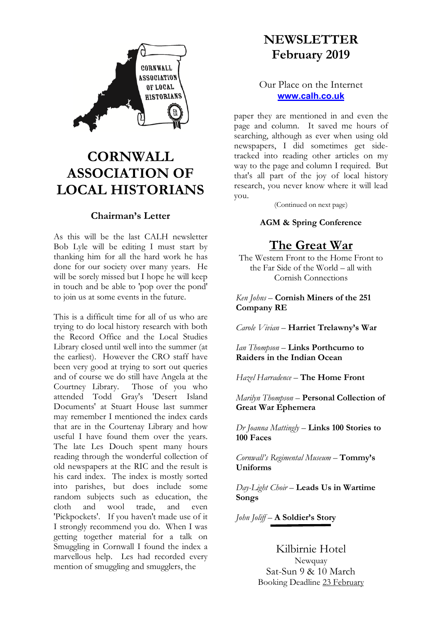

# **CORNWALL ASSOCIATION OF LOCAL HISTORIANS**

## **Chairman's Letter**

As this will be the last CALH newsletter Bob Lyle will be editing I must start by thanking him for all the hard work he has done for our society over many years. He will be sorely missed but I hope he will keep in touch and be able to 'pop over the pond' to join us at some events in the future.

This is a difficult time for all of us who are trying to do local history research with both the Record Office and the Local Studies Library closed until well into the summer (at the earliest). However the CRO staff have been very good at trying to sort out queries and of course we do still have Angela at the Courtney Library. Those of you who attended Todd Gray's 'Desert Island Documents' at Stuart House last summer may remember I mentioned the index cards that are in the Courtenay Library and how useful I have found them over the years. The late Les Douch spent many hours reading through the wonderful collection of old newspapers at the RIC and the result is his card index. The index is mostly sorted into parishes, but does include some random subjects such as education, the cloth and wool trade, and even 'Pickpockets'. If you haven't made use of it I strongly recommend you do. When I was getting together material for a talk on Smuggling in Cornwall I found the index a marvellous help. Les had recorded every mention of smuggling and smugglers, the

## **NEWSLETTER February 2019**

## Our Place on the Internet **www.calh.co.uk**

paper they are mentioned in and even the page and column. It saved me hours of searching, although as ever when using old newspapers, I did sometimes get sidetracked into reading other articles on my way to the page and column I required. But that's all part of the joy of local history research, you never know where it will lead you.

(Continued on next page)

## **AGM & Spring Conference**

## **The Great War**

The Western Front to the Home Front to the Far Side of the World – all with Cornish Connections

## *Ken Johns* – **Cornish Miners of the 251 Company RE**

*Carole Vivian* – **Harriet Trelawny's War**

*Ian Thompson* – **Links Porthcurno to Raiders in the Indian Ocean**

*Hazel Harradence* – **The Home Front**

*Marilyn Thompson* – **Personal Collection of Great War Ephemera**

*Dr Joanna Mattingly* – **Links 100 Stories to 100 Faces**

*Cornwall's Regimental Museum* – **Tommy's Uniforms**

*Day-Light Choir* – **Leads Us in Wartime Songs**

*John Joliff* – **A Soldier's Story**

Kilbirnie Hotel

**Newquay** Sat-Sun 9 & 10 March Booking Deadline 23 February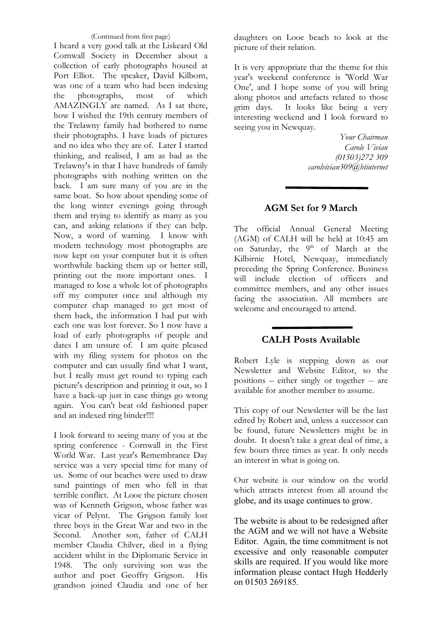(Continued from first page) I heard a very good talk at the Liskeard Old Cornwall Society in December about a collection of early photographs housed at Port Elliot. The speaker, David Kilborn, was one of a team who had been indexing the photographs, most of which AMAZINGLY are named. As I sat there, how I wished the 19th century members of the Trelawny family had bothered to name their photographs. I have loads of pictures and no idea who they are of. Later I started thinking, and realised, I am as bad as the Trelawny's in that I have hundreds of family photographs with nothing written on the back. I am sure many of you are in the same boat. So how about spending some of the long winter evenings going through them and trying to identify as many as you can, and asking relations if they can help. Now, a word of warning. I know with modern technology most photographs are now kept on your computer but it is often worthwhile backing them up or better still, printing out the more important ones. I managed to lose a whole lot of photographs off my computer once and although my computer chap managed to get most of them back, the information I had put with each one was lost forever. So I now have a load of early photographs of people and dates I am unsure of. I am quite pleased with my filing system for photos on the computer and can usually find what I want, but I really must get round to typing each picture's description and printing it out, so I have a back-up just in case things go wrong again. You can't beat old fashioned paper and an indexed ring binder!!!!

I look forward to seeing many of you at the spring conference - Cornwall in the First World War. Last year's Remembrance Day service was a very special time for many of us. Some of our beaches were used to draw sand paintings of men who fell in that terrible conflict. At Looe the picture chosen was of Kenneth Grigson, whose father was vicar of Pelynt. The Grigson family lost three boys in the Great War and two in the Second. Another son, father of CALH member Claudia Chilver, died in a flying accident whilst in the Diplomatic Service in 1948. The only surviving son was the author and poet Geoffry Grigson. His grandson joined Claudia and one of her

daughters on Looe beach to look at the picture of their relation.

It is very appropriate that the theme for this year's weekend conference is 'World War One', and I hope some of you will bring along photos and artefacts related to those grim days. It looks like being a very interesting weekend and I look forward to seeing you in Newquay.

> *Your Chairman Carole Vivian (01503)272 309 carolvivian309@btinternet*

## **AGM Set for 9 March**

The official Annual General Meeting (AGM) of CALH will be held at 10:45 am on Saturday, the 9<sup>th</sup> of March at the Kilbirnie Hotel, Newquay, immediately preceding the Spring Conference. Business will include election of officers and committee members, and any other issues facing the association. All members are welcome and encouraged to attend.

## **CALH Posts Available**

Robert Lyle is stepping down as our Newsletter and Website Editor, so the positions – either singly or together -- are available for another member to assume.

This copy of our Newsletter will be the last edited by Robert and, unless a successor can be found, future Newsletters might be in doubt. It doesn't take a great deal of time, a few hours three times as year. It only needs an interest in what is going on.

Our website is our window on the world which attracts interest from all around the globe, and its usage continues to grow.

The website is about to be redesigned after the AGM and we will not have a Website Editor. Again, the time commitment is not excessive and only reasonable computer skills are required. If you would like more information please contact Hugh Hedderly on 01503 269185.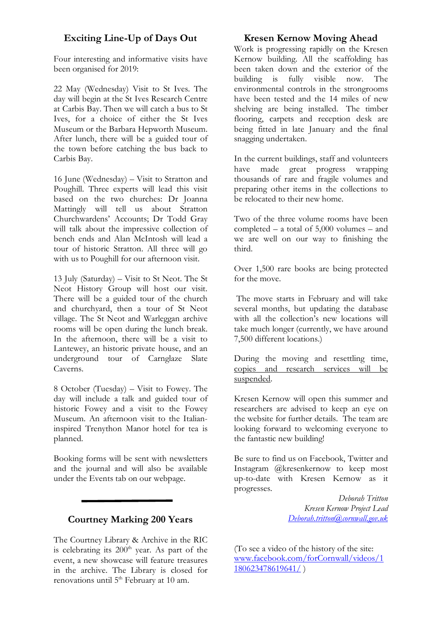## **Exciting Line-Up of Days Out**

Four interesting and informative visits have been organised for 2019:

22 May (Wednesday) Visit to St Ives. The day will begin at the St Ives Research Centre at Carbis Bay. Then we will catch a bus to St Ives, for a choice of either the St Ives Museum or the Barbara Hepworth Museum. After lunch, there will be a guided tour of the town before catching the bus back to Carbis Bay.

16 June (Wednesday) – Visit to Stratton and Poughill. Three experts will lead this visit based on the two churches: Dr Joanna Mattingly will tell us about Stratton Churchwardens' Accounts; Dr Todd Gray will talk about the impressive collection of bench ends and Alan McIntosh will lead a tour of historic Stratton. All three will go with us to Poughill for our afternoon visit.

13 July (Saturday) – Visit to St Neot. The St Neot History Group will host our visit. There will be a guided tour of the church and churchyard, then a tour of St Neot village. The St Neot and Warleggan archive rooms will be open during the lunch break. In the afternoon, there will be a visit to Lantewey, an historic private house, and an underground tour of Carnglaze Slate Caverns.

8 October (Tuesday) – Visit to Fowey. The day will include a talk and guided tour of historic Fowey and a visit to the Fowey Museum. An afternoon visit to the Italianinspired Trenython Manor hotel for tea is planned.

Booking forms will be sent with newsletters and the journal and will also be available under the Events tab on our webpage.

## **Courtney Marking 200 Years**

The Courtney Library & Archive in the RIC is celebrating its  $200<sup>th</sup>$  year. As part of the event, a new showcase will feature treasures in the archive. The Library is closed for renovations until 5<sup>th</sup> February at 10 am.

## **Kresen Kernow Moving Ahead**

Work is progressing rapidly on the Kresen Kernow building. All the scaffolding has been taken down and the exterior of the building is fully visible now. The environmental controls in the strongrooms have been tested and the 14 miles of new shelving are being installed. The timber flooring, carpets and reception desk are being fitted in late January and the final snagging undertaken.

In the current buildings, staff and volunteers have made great progress wrapping thousands of rare and fragile volumes and preparing other items in the collections to be relocated to their new home.

Two of the three volume rooms have been completed – a total of 5,000 volumes – and we are well on our way to finishing the third.

Over 1,500 rare books are being protected for the move.

The move starts in February and will take several months, but updating the database with all the collection's new locations will take much longer (currently, we have around 7,500 different locations.)

During the moving and resettling time, copies and research services will be suspended.

Kresen Kernow will open this summer and researchers are advised to keep an eye on the website for further details. The team are looking forward to welcoming everyone to the fantastic new building!

Be sure to find us on Facebook, Twitter and Instagram @kresenkernow to keep most up-to-date with Kresen Kernow as it progresses.

> *Deborah Tritton Kresen Kernow Project Lead Deborah.tritton@cornwall.gov.uk*

(To see a video of the history of the site: www.facebook.com/forCornwall/videos/1 180623478619641/ )